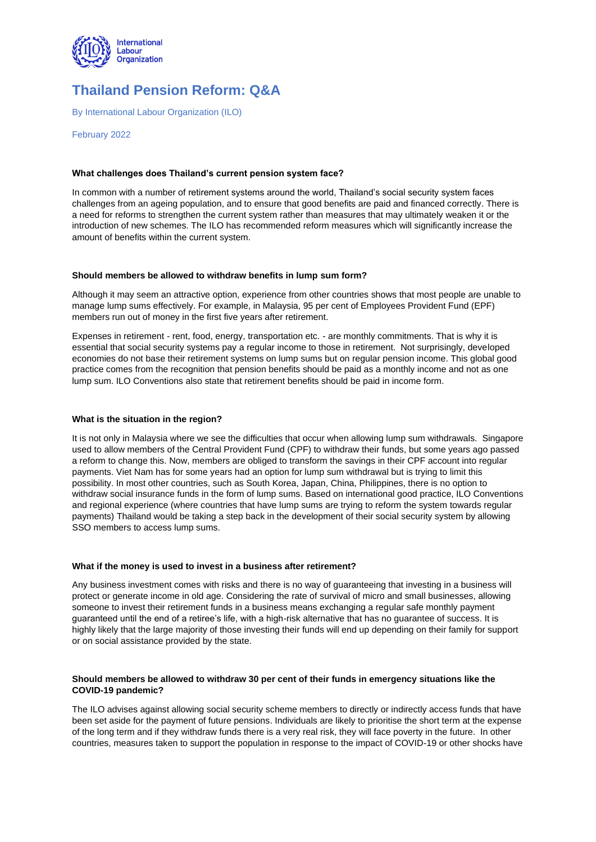

# **Thailand Pension Reform: Q&A**

By International Labour Organization (ILO)

February 2022

# **What challenges does Thailand's current pension system face?**

In common with a number of retirement systems around the world, Thailand's social security system faces challenges from an ageing population, and to ensure that good benefits are paid and financed correctly. There is a need for reforms to strengthen the current system rather than measures that may ultimately weaken it or the introduction of new schemes. The ILO has recommended reform measures which will significantly increase the amount of benefits within the current system.

# **Should members be allowed to withdraw benefits in lump sum form?**

Although it may seem an attractive option, experience from other countries shows that most people are unable to manage lump sums effectively. For example, in Malaysia, 95 per cent of Employees Provident Fund (EPF) members run out of money in the first five years after retirement.

Expenses in retirement - rent, food, energy, transportation etc. - are monthly commitments. That is why it is essential that social security systems pay a regular income to those in retirement. Not surprisingly, developed economies do not base their retirement systems on lump sums but on regular pension income. This global good practice comes from the recognition that pension benefits should be paid as a monthly income and not as one lump sum. ILO Conventions also state that retirement benefits should be paid in income form.

# **What is the situation in the region?**

It is not only in Malaysia where we see the difficulties that occur when allowing lump sum withdrawals. Singapore used to allow members of the Central Provident Fund (CPF) to withdraw their funds, but some years ago passed a reform to change this. Now, members are obliged to transform the savings in their CPF account into regular payments. Viet Nam has for some years had an option for lump sum withdrawal but is trying to limit this possibility. In most other countries, such as South Korea, Japan, China, Philippines, there is no option to withdraw social insurance funds in the form of lump sums. Based on international good practice, ILO Conventions and regional experience (where countries that have lump sums are trying to reform the system towards regular payments) Thailand would be taking a step back in the development of their social security system by allowing SSO members to access lump sums.

# **What if the money is used to invest in a business after retirement?**

Any business investment comes with risks and there is no way of guaranteeing that investing in a business will protect or generate income in old age. Considering the rate of survival of micro and small businesses, allowing someone to invest their retirement funds in a business means exchanging a regular safe monthly payment guaranteed until the end of a retiree's life, with a high-risk alternative that has no guarantee of success. It is highly likely that the large majority of those investing their funds will end up depending on their family for support or on social assistance provided by the state.

# **Should members be allowed to withdraw 30 per cent of their funds in emergency situations like the COVID-19 pandemic?**

The ILO advises against allowing social security scheme members to directly or indirectly access funds that have been set aside for the payment of future pensions. Individuals are likely to prioritise the short term at the expense of the long term and if they withdraw funds there is a very real risk, they will face poverty in the future. In other countries, measures taken to support the population in response to the impact of COVID-19 or other shocks have